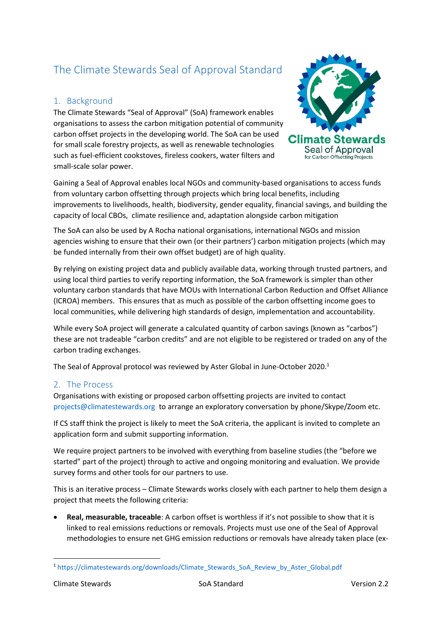# The Climate Stewards Seal of Approval Standard

## 1. Background

The Climate Stewards "Seal of Approval" (SoA) framework enables organisations to assess the carbon mitigation potential of community carbon offset projects in the developing world. The SoA can be used for small scale forestry projects, as well as renewable technologies such as fuel-efficient cookstoves, fireless cookers, water filters and small-scale solar power.



Gaining a Seal of Approval enables local NGOs and community-based organisations to access funds from voluntary carbon offsetting through projects which bring local benefits, including improvements to livelihoods, health, biodiversity, gender equality, financial savings, and building the capacity of local CBOs, climate resilience and, adaptation alongside carbon mitigation

The SoA can also be used by A Rocha national organisations, international NGOs and mission agencies wishing to ensure that their own (or their partners') carbon mitigation projects (which may be funded internally from their own offset budget) are of high quality.

By relying on existing project data and publicly available data, working through trusted partners, and using local third parties to verify reporting information, the SoA framework is simpler than other voluntary carbon standards that have MOUs with International Carbon Reduction and Offset Alliance (ICROA) members. This ensures that as much as possible of the carbon offsetting income goes to local communities, while delivering high standards of design, implementation and accountability.

While every SoA project will generate a calculated quantity of carbon savings (known as "carbos") these are not tradeable "carbon credits" and are not eligible to be registered or traded on any of the carbon trading exchanges.

The Seal of Approval protocol was reviewed by Aster Global in June-October 2020.<sup>1</sup>

### 2. The Process

Organisations with existing or proposed carbon offsetting projects are invited to contact [projects@climatestewards.org](mailto:projects@climatestewards.org) to arrange an exploratory conversation by phone/Skype/Zoom etc.

If CS staff think the project is likely to meet the SoA criteria, the applicant is invited to complete an application form and submit supporting information.

We require project partners to be involved with everything from baseline studies (the "before we started" part of the project) through to active and ongoing monitoring and evaluation. We provide survey forms and other tools for our partners to use.

This is an iterative process – Climate Stewards works closely with each partner to help them design a project that meets the following criteria:

• **Real, measurable, traceable**: A carbon offset is worthless if it's not possible to show that it is linked to real emissions reductions or removals. Projects must use one of the Seal of Approval methodologies to ensure net GHG emission reductions or removals have already taken place (ex-

<sup>1</sup> [https://climatestewards.org/downloads/Climate\\_Stewards\\_SoA\\_Review\\_by\\_Aster\\_Global.pdf](https://climatestewards.org/downloads/Climate_Stewards_SoA_Review_by_Aster_Global.pdf)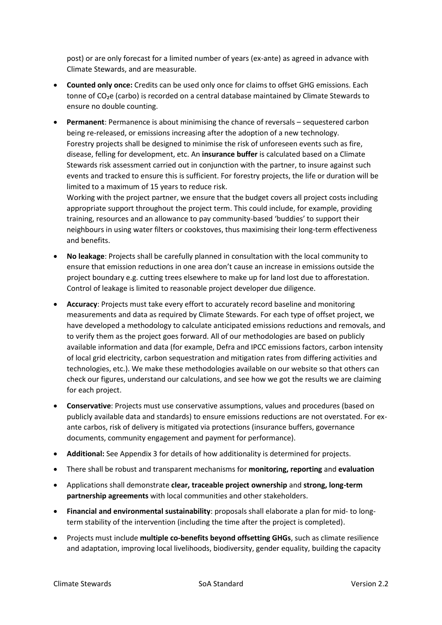post) or are only forecast for a limited number of years (ex-ante) as agreed in advance with Climate Stewards, and are measurable.

- **Counted only once:** Credits can be used only once for claims to offset GHG emissions. Each tonne of  $CO<sub>2</sub>e$  (carbo) is recorded on a central database maintained by Climate Stewards to ensure no double counting.
- **Permanent**: Permanence is about minimising the chance of reversals sequestered carbon being re-released, or emissions increasing after the adoption of a new technology. Forestry projects shall be designed to minimise the risk of unforeseen events such as fire, disease, felling for development, etc. An **insurance buffer** is calculated based on a Climate Stewards risk assessment carried out in conjunction with the partner, to insure against such events and tracked to ensure this is sufficient. For forestry projects, the life or duration will be limited to a maximum of 15 years to reduce risk.

Working with the project partner, we ensure that the budget covers all project costs including appropriate support throughout the project term. This could include, for example, providing training, resources and an allowance to pay community-based 'buddies' to support their neighbours in using water filters or cookstoves, thus maximising their long-term effectiveness and benefits.

- **No leakage**: Projects shall be carefully planned in consultation with the local community to ensure that emission reductions in one area don't cause an increase in emissions outside the project boundary e.g. cutting trees elsewhere to make up for land lost due to afforestation. Control of leakage is limited to reasonable project developer due diligence.
- **Accuracy**: Projects must take every effort to accurately record baseline and monitoring measurements and data as required by Climate Stewards. For each type of offset project, we have developed a methodology to calculate anticipated emissions reductions and removals, and to verify them as the project goes forward. All of our methodologies are based on publicly available information and data (for example, Defra and IPCC emissions factors, carbon intensity of local grid electricity, carbon sequestration and mitigation rates from differing activities and technologies, etc.). We make these methodologies available on our website so that others can check our figures, understand our calculations, and see how we got the results we are claiming for each project.
- **Conservative**: Projects must use conservative assumptions, values and procedures (based on publicly available data and standards) to ensure emissions reductions are not overstated. For exante carbos, risk of delivery is mitigated via protections (insurance buffers, governance documents, community engagement and payment for performance).
- **Additional:** See Appendix 3 for details of how additionality is determined for projects.
- There shall be robust and transparent mechanisms for **monitoring, reporting** and **evaluation**
- Applications shall demonstrate **clear, traceable project ownership** and **strong, long-term partnership agreements** with local communities and other stakeholders.
- **Financial and environmental sustainability**: proposals shall elaborate a plan for mid- to longterm stability of the intervention (including the time after the project is completed).
- Projects must include **multiple co-benefits beyond offsetting GHGs**, such as climate resilience and adaptation, improving local livelihoods, biodiversity, gender equality, building the capacity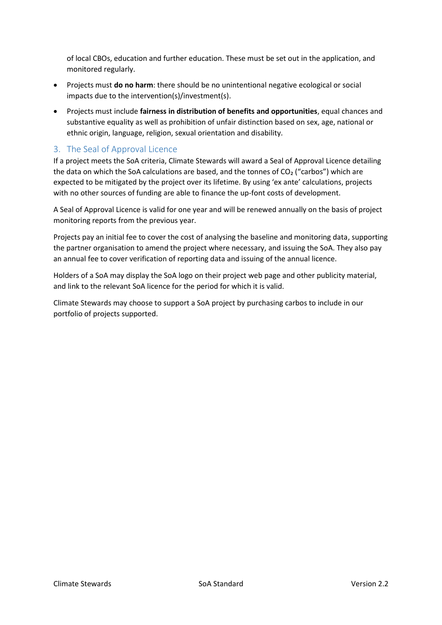of local CBOs, education and further education. These must be set out in the application, and monitored regularly.

- Projects must **do no harm**: there should be no unintentional negative ecological or social impacts due to the intervention(s)/investment(s).
- Projects must include **fairness in distribution of benefits and opportunities**, equal chances and substantive equality as well as prohibition of unfair distinction based on sex, age, national or ethnic origin, language, religion, sexual orientation and disability.

## 3. The Seal of Approval Licence

If a project meets the SoA criteria, Climate Stewards will award a Seal of Approval Licence detailing the data on which the SoA calculations are based, and the tonnes of  $CO<sub>2</sub>$  ("carbos") which are expected to be mitigated by the project over its lifetime. By using 'ex ante' calculations, projects with no other sources of funding are able to finance the up-font costs of development.

A Seal of Approval Licence is valid for one year and will be renewed annually on the basis of project monitoring reports from the previous year.

Projects pay an initial fee to cover the cost of analysing the baseline and monitoring data, supporting the partner organisation to amend the project where necessary, and issuing the SoA. They also pay an annual fee to cover verification of reporting data and issuing of the annual licence.

Holders of a SoA may display the SoA logo on their project web page and other publicity material, and link to the relevant SoA licence for the period for which it is valid.

Climate Stewards may choose to support a SoA project by purchasing carbos to include in our portfolio of projects supported.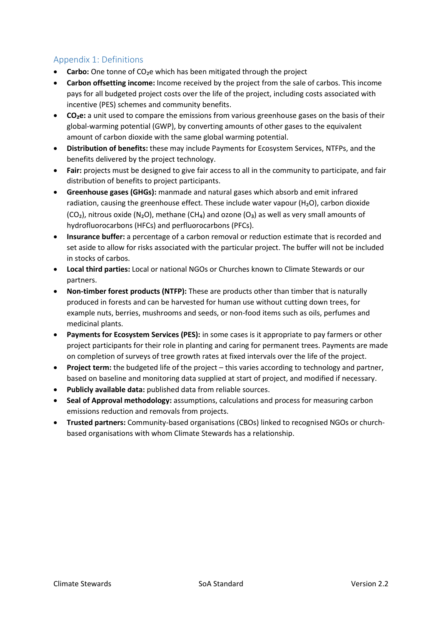# Appendix 1: Definitions

- **Carbo:** One tonne of CO<sub>2</sub>e which has been mitigated through the project
- **Carbon offsetting income:** Income received by the project from the sale of carbos. This income pays for all budgeted project costs over the life of the project, including costs associated with incentive (PES) schemes and community benefits.
- **CO₂e:** a unit used to compare the emissions from various greenhouse gases on the basis of their global-warming potential (GWP), by converting amounts of other gases to the equivalent amount of carbon dioxide with the same global warming potential.
- **Distribution of benefits:** these may include Payments for Ecosystem Services, NTFPs, and the benefits delivered by the project technology.
- **Fair:** projects must be designed to give fair access to all in the community to participate, and fair distribution of benefits to project participants.
- **Greenhouse gases (GHGs):** manmade and natural gases which absorb and emit infrared radiation, causing the greenhouse effect. These include water vapour (H<sub>2</sub>O), carbon dioxide  $(CO<sub>2</sub>)$ , nitrous oxide (N<sub>2</sub>O), methane (CH<sub>4</sub>) and ozone (O<sub>3</sub>) as well as very small amounts of hydrofluorocarbons (HFCs) and perfluorocarbons (PFCs).
- **Insurance buffer:** a percentage of a carbon removal or reduction estimate that is recorded and set aside to allow for risks associated with the particular project. The buffer will not be included in stocks of carbos.
- **Local third parties:** Local or national NGOs or Churches known to Climate Stewards or our partners.
- **Non-timber forest products (NTFP):** These are products other than timber that is naturally produced in forests and can be harvested for human use without cutting down trees, for example nuts, berries, mushrooms and seeds, or non-food items such as oils, perfumes and medicinal plants.
- **Payments for Ecosystem Services (PES):** in some cases is it appropriate to pay farmers or other project participants for their role in planting and caring for permanent trees. Payments are made on completion of surveys of tree growth rates at fixed intervals over the life of the project.
- **Project term:** the budgeted life of the project this varies according to technology and partner, based on baseline and monitoring data supplied at start of project, and modified if necessary.
- **Publicly available data:** published data from reliable sources.
- **Seal of Approval methodology:** assumptions, calculations and process for measuring carbon emissions reduction and removals from projects.
- **Trusted partners:** Community-based organisations (CBOs) linked to recognised NGOs or churchbased organisations with whom Climate Stewards has a relationship.